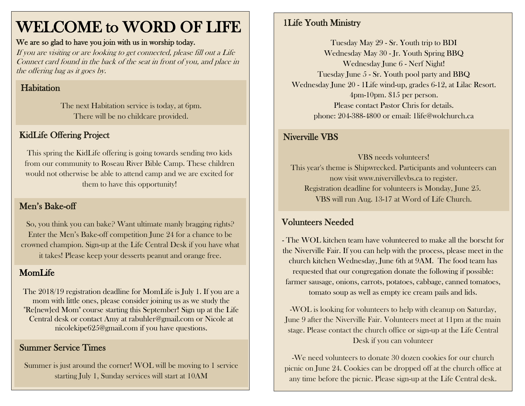# WELCOME to WORD OF LIFE

#### We are so glad to have you join with us in worship today.

If you are visiting or are looking to get connected, please fill out a Life Connect card found in the back of the seat in front of you, and place in the offering bag as it goes by.

# **Habitation**

The next Habitation service is today, at 6pm. There will be no childcare provided.

# KidLife Offering Project

This spring the KidLife offering is going towards sending two kids from our community to Roseau River Bible Camp. These children would not otherwise be able to attend camp and we are excited for them to have this opportunity!

# Men's Bake-off

So, you think you can bake? Want ultimate manly bragging rights? Enter the Men's Bake-off competition June 24 for a chance to be crowned champion. Sign-up at the Life Central Desk if you have what it takes! Please keep your desserts peanut and orange free.

# MomLife

The 2018/19 registration deadline for MomLife is July 1. If you are a mom with little ones, please consider joining us as we study the "Re{new}ed Mom" course starting this September! Sign up at the Life Central desk or contact Amy at [rabuhler@gmail.com](mailto:rabuhler@gmail.com) or Nicole at [nicolekipe625@gmail.com](mailto:nicolekipe625@gmail.com) if you have questions.

### Summer Service Times

Summer is just around the corner! WOL will be moving to 1 service starting July 1, Sunday services will start at 10AM

# 1Life Youth Ministry

Tuesday May 29 - Sr. Youth trip to BDI Wednesday May 30 - Jr. Youth Spring BBQ Wednesday June 6 - Nerf Night! Tuesday June 5 - Sr. Youth pool party and BBQ Wednesday June 20 - 1Life wind-up, grades 6-12, at Lilac Resort. 4pm-10pm. \$15 per person. Please contact Pastor Chris for details. phone: 204-388-4800 or email: 1life@wolchurch.ca

#### Niverville VBS

VBS needs volunteers! This year's theme is Shipwrecked. Participants and volunteers can now visit www.nivervillevbs.ca to register. Registration deadline for volunteers is Monday, June 25. VBS will run Aug. 13-17 at Word of Life Church.

# Volunteers Needed

- The WOL kitchen team have volunteered to make all the borscht for the Niverville Fair. If you can help with the process, please meet in the church kitchen Wednesday, June 6th at 9AM. The food team has requested that our congregation donate the following if possible: farmer sausage, onions, carrots, potatoes, cabbage, canned tomatoes, tomato soup as well as empty ice cream pails and lids.

-WOL is looking for volunteers to help with cleanup on Saturday, June 9 after the Niverville Fair. Volunteers meet at 11pm at the main stage. Please contact the church office or sign-up at the Life Central Desk if you can volunteer

-We need volunteers to donate 30 dozen cookies for our church picnic on June 24. Cookies can be dropped off at the church office at any time before the picnic. Please sign-up at the Life Central desk.